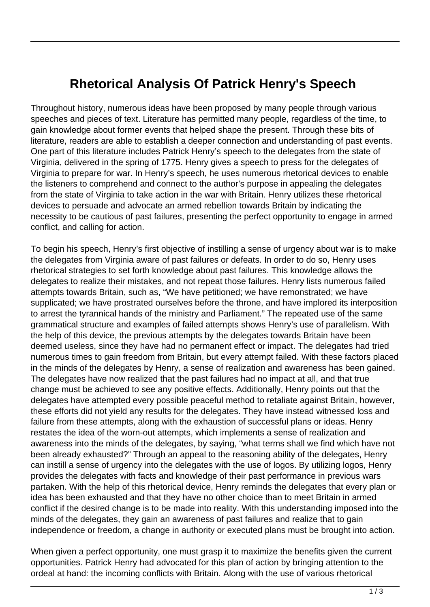## **Rhetorical Analysis Of Patrick Henry's Speech**

Throughout history, numerous ideas have been proposed by many people through various speeches and pieces of text. Literature has permitted many people, regardless of the time, to gain knowledge about former events that helped shape the present. Through these bits of literature, readers are able to establish a deeper connection and understanding of past events. One part of this literature includes Patrick Henry's speech to the delegates from the state of Virginia, delivered in the spring of 1775. Henry gives a speech to press for the delegates of Virginia to prepare for war. In Henry's speech, he uses numerous rhetorical devices to enable the listeners to comprehend and connect to the author's purpose in appealing the delegates from the state of Virginia to take action in the war with Britain. Henry utilizes these rhetorical devices to persuade and advocate an armed rebellion towards Britain by indicating the necessity to be cautious of past failures, presenting the perfect opportunity to engage in armed conflict, and calling for action.

To begin his speech, Henry's first objective of instilling a sense of urgency about war is to make the delegates from Virginia aware of past failures or defeats. In order to do so, Henry uses rhetorical strategies to set forth knowledge about past failures. This knowledge allows the delegates to realize their mistakes, and not repeat those failures. Henry lists numerous failed attempts towards Britain, such as, "We have petitioned; we have remonstrated; we have supplicated; we have prostrated ourselves before the throne, and have implored its interposition to arrest the tyrannical hands of the ministry and Parliament." The repeated use of the same grammatical structure and examples of failed attempts shows Henry's use of parallelism. With the help of this device, the previous attempts by the delegates towards Britain have been deemed useless, since they have had no permanent effect or impact. The delegates had tried numerous times to gain freedom from Britain, but every attempt failed. With these factors placed in the minds of the delegates by Henry, a sense of realization and awareness has been gained. The delegates have now realized that the past failures had no impact at all, and that true change must be achieved to see any positive effects. Additionally, Henry points out that the delegates have attempted every possible peaceful method to retaliate against Britain, however, these efforts did not yield any results for the delegates. They have instead witnessed loss and failure from these attempts, along with the exhaustion of successful plans or ideas. Henry restates the idea of the worn-out attempts, which implements a sense of realization and awareness into the minds of the delegates, by saying, "what terms shall we find which have not been already exhausted?" Through an appeal to the reasoning ability of the delegates, Henry can instill a sense of urgency into the delegates with the use of logos. By utilizing logos, Henry provides the delegates with facts and knowledge of their past performance in previous wars partaken. With the help of this rhetorical device, Henry reminds the delegates that every plan or idea has been exhausted and that they have no other choice than to meet Britain in armed conflict if the desired change is to be made into reality. With this understanding imposed into the minds of the delegates, they gain an awareness of past failures and realize that to gain independence or freedom, a change in authority or executed plans must be brought into action.

When given a perfect opportunity, one must grasp it to maximize the benefits given the current opportunities. Patrick Henry had advocated for this plan of action by bringing attention to the ordeal at hand: the incoming conflicts with Britain. Along with the use of various rhetorical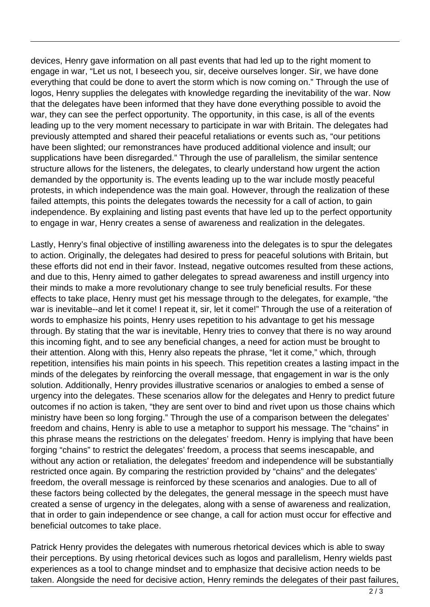devices, Henry gave information on all past events that had led up to the right moment to engage in war, "Let us not, I beseech you, sir, deceive ourselves longer. Sir, we have done everything that could be done to avert the storm which is now coming on." Through the use of logos, Henry supplies the delegates with knowledge regarding the inevitability of the war. Now that the delegates have been informed that they have done everything possible to avoid the war, they can see the perfect opportunity. The opportunity, in this case, is all of the events leading up to the very moment necessary to participate in war with Britain. The delegates had previously attempted and shared their peaceful retaliations or events such as, "our petitions have been slighted; our remonstrances have produced additional violence and insult; our supplications have been disregarded." Through the use of parallelism, the similar sentence structure allows for the listeners, the delegates, to clearly understand how urgent the action demanded by the opportunity is. The events leading up to the war include mostly peaceful protests, in which independence was the main goal. However, through the realization of these failed attempts, this points the delegates towards the necessity for a call of action, to gain independence. By explaining and listing past events that have led up to the perfect opportunity to engage in war, Henry creates a sense of awareness and realization in the delegates.

Lastly, Henry's final objective of instilling awareness into the delegates is to spur the delegates to action. Originally, the delegates had desired to press for peaceful solutions with Britain, but these efforts did not end in their favor. Instead, negative outcomes resulted from these actions, and due to this, Henry aimed to gather delegates to spread awareness and instill urgency into their minds to make a more revolutionary change to see truly beneficial results. For these effects to take place, Henry must get his message through to the delegates, for example, "the war is inevitable--and let it come! I repeat it, sir, let it come!" Through the use of a reiteration of words to emphasize his points, Henry uses repetition to his advantage to get his message through. By stating that the war is inevitable, Henry tries to convey that there is no way around this incoming fight, and to see any beneficial changes, a need for action must be brought to their attention. Along with this, Henry also repeats the phrase, "let it come," which, through repetition, intensifies his main points in his speech. This repetition creates a lasting impact in the minds of the delegates by reinforcing the overall message, that engagement in war is the only solution. Additionally, Henry provides illustrative scenarios or analogies to embed a sense of urgency into the delegates. These scenarios allow for the delegates and Henry to predict future outcomes if no action is taken, "they are sent over to bind and rivet upon us those chains which ministry have been so long forging." Through the use of a comparison between the delegates' freedom and chains, Henry is able to use a metaphor to support his message. The "chains" in this phrase means the restrictions on the delegates' freedom. Henry is implying that have been forging "chains" to restrict the delegates' freedom, a process that seems inescapable, and without any action or retaliation, the delegates' freedom and independence will be substantially restricted once again. By comparing the restriction provided by "chains" and the delegates' freedom, the overall message is reinforced by these scenarios and analogies. Due to all of these factors being collected by the delegates, the general message in the speech must have created a sense of urgency in the delegates, along with a sense of awareness and realization, that in order to gain independence or see change, a call for action must occur for effective and beneficial outcomes to take place.

Patrick Henry provides the delegates with numerous rhetorical devices which is able to sway their perceptions. By using rhetorical devices such as logos and parallelism, Henry wields past experiences as a tool to change mindset and to emphasize that decisive action needs to be taken. Alongside the need for decisive action, Henry reminds the delegates of their past failures,